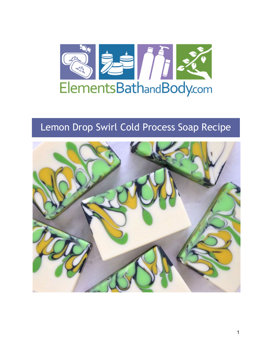

# Lemon Drop Swirl Cold Process Soap Recipe

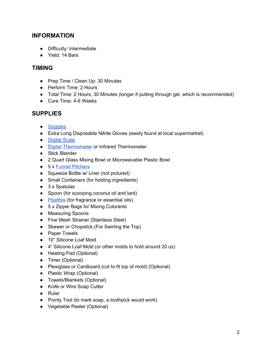## **INFORMATION**

- Difficulty: Intermediate
- Yield: 14 Bars

### **TIMING**

- Prep Time / Clean Up: 30 Minutes
- Perform Time: 2 Hours
- Total Time: 2 Hours, 30 Minutes (longer if putting through gel, which is recommended)
- Cure Time: 4-6 Weeks

## **SUPPLIES**

- [Goggles](https://www.elementsbathandbody.com/Goggles/)
- Extra Long Disposable Nitrile Gloves (easily found at local supermarket)
- [Digital](https://www.elementsbathandbody.com/Scales/) Scale
- Digital [Thermometer](https://www.elementsbathandbody.com/Digital-Pen-Thermometer.html) or Infrared Thermometer
- Stick Blender
- 2 Quart Glass Mixing Bowl or Microwavable Plastic Bowl
- 5 x [F](https://www.elementsbathandbody.com/3.5-Cup-Funnel-Pitcher.html)unnel [Pitchers](https://www.elementsbathandbody.com/3.5-Cup-Funnel-Pitcher.html)
- Squeeze Bottle w/ Liner (not pictured)
- Small Containers (for holding ingredients)
- 3 x Spatulas
- Spoon (for scooping coconut oil and lard)
- [Pipettes](https://www.elementsbathandbody.com/Disposable-Pipettes-7-ml.html) (for fragrance or essential oils)
- 5 x Zipper Bags for Mixing Colorants
- Measuring Spoons
- Fine Mesh Strainer (Stainless Steel)
- Skewer or Chopstick (For Swirling the Top)
- Paper Towels
- 10" Silicone Loaf Mold
- 4" Silicone Loaf Mold (or other molds to hold around 20 oz)
- Heating Pad (Optional)
- Timer (Optional)
- Plexiglass or Cardboard (cut to fit top of mold) (Optional)
- Plastic Wrap (Optional)
- Towels/Blankets (Optional)
- Knife or Wire Soap Cutter
- Ruler
- Pointy Tool (to mark soap, a toothpick would work)
- Vegetable Peeler (Optional)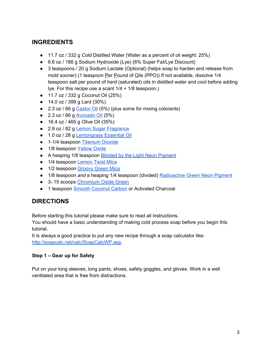# **INGREDIENTS**

- 11.7 oz / 332 g *Cold* Distilled Water (Water as a percent of oil weight: 25%)
- 6.6 oz / 186 g Sodium Hydroxide (Lye) (6% Super Fat/Lye Discount)
- 3 teaspoons / 20 g Sodium Lactate (Optional) (helps soap to harden and release from mold sooner) (1 teaspoon Per Pound of Oils (PPO)) If not available, dissolve 1/4 teaspoon salt per pound of *hard* (saturated) oils in distilled water and cool before adding lye. For this recipe use a scant 1/4 + 1/8 teaspoon.)
- 11.7 oz / 332 g Coconut Oil (25%)
- 14.0 oz / 399 g Lard (30%)
- 2.3 oz / 66 g [Castor](https://www.elementsbathandbody.com/Castor-Oil.html) Oil (5%) (plus some for mixing colorants)
- $\bullet$  2.3 oz / 66 g [Avocado](https://www.elementsbathandbody.com/Avocado-Oil.html) Oil (5%)
- 16.4 oz / 465 g Olive Oil (35%)
- 2.9 oz / 82 g [L](https://www.elementsbathandbody.com/Lemon-Sugar-Fresh-type-Fragrance.html)emon Sugar [Fragrance](https://www.elementsbathandbody.com/Lemon-Sugar-Fresh-type-Fragrance.html)
- 1.0 oz / 28 g [Lemongrass](https://www.elementsbathandbody.com/Lemongrass-Essential-Oil.html) Essential Oil
- 1-1/4 teaspoon [Titanium](https://www.elementsbathandbody.com/Titanium-Dioxide-Oil-and-Water-Dispersible.html) Dioxide
- 1/8 teaspoon [Yellow](https://www.elementsbathandbody.com/yellow-oxide.html) Oxide
- A heapi[n](https://www.elementsbathandbody.com/blinded-by-the-light-neon-pigment.html)g 1/8 teaspoon Blinded by the Light Neon [Pigment](https://www.elementsbathandbody.com/blinded-by-the-light-neon-pigment.html)
- 1/4 teaspoon [Lemon](https://www.elementsbathandbody.com/lemon-twist-mica.html) Twist Mica
- 1/2 teaspoon [Groovy](https://www.elementsbathandbody.com/groovy-green-mica.html) Green Mica
- **•** 1/8 teaspoon *and* a heaping 1/4 teaspoon (divided[\)](https://www.elementsbathandbody.com/radioactive-green-neon-pigment.html) **[Radioactive](https://www.elementsbathandbody.com/radioactive-green-neon-pigment.html) Green Neon Pigment**
- 3-.15 scoops [Chromium](https://www.elementsbathandbody.com/chromium-oxide-green.html) Oxide Green
- 1 teaspoon [S](https://www.elementsbathandbody.com/Coconut-Carbon-Powder-Smooth.html)mooth [Coconut](https://www.elementsbathandbody.com/Coconut-Carbon-Powder-Smooth.html) Carbon or Activated Charcoal

# **DIRECTIONS**

Before starting this tutorial please make sure to read all instructions.

You should have a basic understanding of making cold process soap before you begin this tutorial.

It is always a good practice to put any new recipe through a soap calculator like[:](http://soapcalc.net/calc/SoapCalcWP.asp) <http://soapcalc.net/calc/SoapCalcWP.asp>.

#### **Step 1 – Gear up for Safety**

Put on your long sleeves, long pants, shoes, safety goggles, and gloves. Work in a well ventilated area that is free from distractions.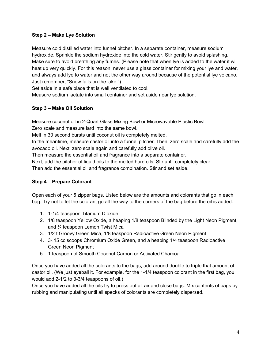#### **Step 2 – Make Lye Solution**

Measure cold distilled water into funnel pitcher. In a separate container, measure sodium hydroxide. Sprinkle the sodium hydroxide into the cold water. Stir gently to avoid splashing. Make sure to avoid breathing any fumes. (Please note that when lye is added to the water it will heat up very quickly. For this reason, never use a glass container for mixing your lye and water, and always add lye to water and not the other way around because of the potential lye volcano. Just remember, "Snow falls on the lake.")

Set aside in a safe place that is well ventilated to cool.

Measure sodium lactate into small container and set aside near lye solution.

#### **Step 3 – Make Oil Solution**

Measure coconut oil in 2-Quart Glass Mixing Bowl or Microwavable Plastic Bowl.

Zero scale and measure lard into the same bowl.

Melt in 30 second bursts until coconut oil is completely melted.

In the meantime, measure castor oil into a funnel pitcher. Then, zero scale and carefully add the avocado oil. Next, zero scale again and carefully add olive oil.

Then measure the essential oil and fragrance into a separate container.

Next, add the pitcher of liquid oils to the melted hard oils. Stir until completely clear.

Then add the essential oil and fragrance combination. Stir and set aside.

#### **Step 4 – Prepare Colorant**

Open each of your 5 zipper bags. Listed below are the amounts and colorants that go in each bag. Try not to let the colorant go all the way to the corners of the bag before the oil is added.

- 1. 1-1/4 teaspoon Titanium Dioxide
- 2. 1/8 teaspoon Yellow Oxide, a heaping 1/8 teaspoon Blinded by the Light Neon Pigment, and ¼ teaspoon Lemon Twist Mica
- 3. 1/2 t Groovy Green Mica, 1/8 teaspoon Radioactive Green Neon Pigment
- 4. 3-.15 cc scoops Chromium Oxide Green, and a heaping 1/4 teaspoon Radioactive Green Neon Pigment
- 5. 1 teaspoon of Smooth Coconut Carbon or Activated Charcoal

Once you have added all the colorants to the bags, add around double to triple that amount of castor oil. (We just eyeball it. For example, for the 1-1/4 teaspoon colorant in the first bag, you would add 2-1/2 to 3-3/4 teaspoons of oil.)

Once you have added all the oils try to press out all air and close bags. Mix contents of bags by rubbing and manipulating until all specks of colorants are completely dispersed.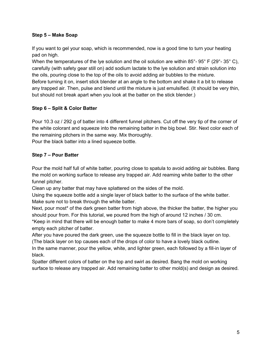#### **Step 5 – Make Soap**

If you want to gel your soap, which is recommended, now is a good time to turn your heating pad on high.

When the temperatures of the lye solution and the oil solution are within 85°-95° F (29°-35° C), carefully (with safety gear still on) add sodium lactate to the lye solution and strain solution into the oils, pouring close to the top of the oils to avoid adding air bubbles to the mixture. Before turning it on, insert stick blender at an angle to the bottom and shake it a bit to release any trapped air. Then, pulse and blend until the mixture is just emulsified. (It should be very thin, but should not break apart when you look at the batter on the stick blender.)

#### **Step 6 – Split & Color Batter**

Pour 10.3 oz / 292 g of batter into 4 different funnel pitchers. Cut off the very tip of the corner of the white colorant and squeeze into the remaining batter in the big bowl. Stir. Next color each of the remaining pitchers in the same way. Mix thoroughly.

Pour the black batter into a lined squeeze bottle.

#### **Step 7 – Pour Batter**

Pour the mold half full of white batter, pouring close to spatula to avoid adding air bubbles. Bang the mold on working surface to release any trapped air. Add reaming white batter to the other funnel pitcher.

Clean up any batter that may have splattered on the sides of the mold.

Using the squeeze bottle add a single layer of black batter to the surface of the white batter. Make sure not to break through the white batter.

Next, pour most<sup>\*</sup> of the dark green batter from high above, the thicker the batter, the higher you should pour from. For this tutorial, we poured from the high of around 12 inches / 30 cm.

\*Keep in mind that there will be enough batter to make 4 more bars of soap, so don't completely empty each pitcher of batter.

After you have poured the dark green, use the squeeze bottle to fill in the black layer on top. (The black layer on top causes each of the drops of color to have a lovely black outline.

In the same manner, pour the yellow, white, and lighter green, each followed by a fill-in layer of black.

Spatter different colors of batter on the top and swirl as desired. Bang the mold on working surface to release any trapped air. Add remaining batter to other mold(s) and design as desired.